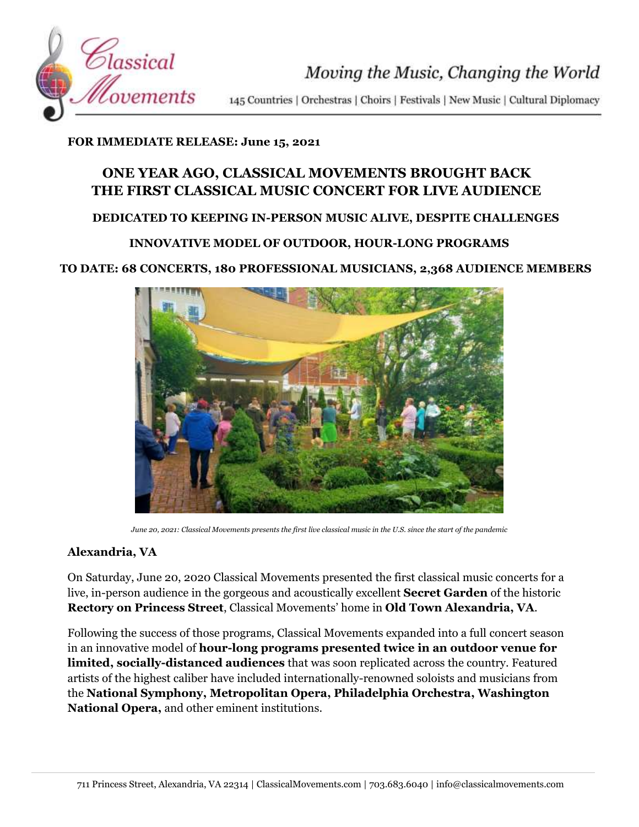

Moving the Music, Changing the World

145 Countries | Orchestras | Choirs | Festivals | New Music | Cultural Diplomacy

### **FOR IMMEDIATE RELEASE: June 15, 2021**

# **ONE YEAR AGO, CLASSICAL MOVEMENTS BROUGHT BACK THE FIRST CLASSICAL MUSIC CONCERT FOR LIVE AUDIENCE**

## **DEDICATED TO KEEPING IN-PERSON MUSIC ALIVE, DESPITE CHALLENGES**

## **INNOVATIVE MODEL OF OUTDOOR, HOUR-LONG PROGRAMS**

#### **TO DATE: 68 CONCERTS, 180 PROFESSIONAL MUSICIANS, 2,368 AUDIENCE MEMBERS**



*June 20, 2021: Classical Movements presents the first live classical music in the U.S. since the start of the pandemic*

#### **Alexandria, VA**

On Saturday, June 20, 2020 Classical Movements presented the first classical music concerts for a live, in-person audience in the gorgeous and acoustically excellent **Secret Garden** of the historic **Rectory on Princess Street**, Classical Movements' home in **Old Town Alexandria, VA**.

Following the success of those programs, Classical Movements expanded into a full concert season in an innovative model of **hour-long programs presented twice in an outdoor venue for limited, socially-distanced audiences** that was soon replicated across the country. Featured artists of the highest caliber have included internationally-renowned soloists and musicians from the **National Symphony, Metropolitan Opera, Philadelphia Orchestra, Washington National Opera,** and other eminent institutions.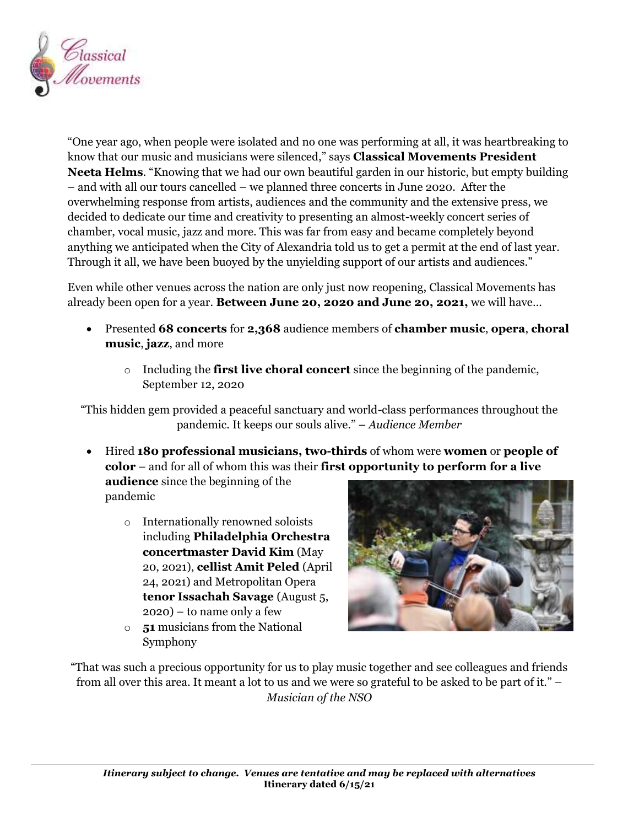

"One year ago, when people were isolated and no one was performing at all, it was heartbreaking to know that our music and musicians were silenced," says **Classical Movements President Neeta Helms**. "Knowing that we had our own beautiful garden in our historic, but empty building – and with all our tours cancelled – we planned three concerts in June 2020. After the overwhelming response from artists, audiences and the community and the extensive press, we decided to dedicate our time and creativity to presenting an almost-weekly concert series of chamber, vocal music, jazz and more. This was far from easy and became completely beyond anything we anticipated when the City of Alexandria told us to get a permit at the end of last year. Through it all, we have been buoyed by the unyielding support of our artists and audiences."

Even while other venues across the nation are only just now reopening, Classical Movements has already been open for a year. **Between June 20, 2020 and June 20, 2021,** we will have…

- Presented **68 concerts** for **2,368** audience members of **chamber music**, **opera**, **choral music**, **jazz**, and more
	- o Including the **first live choral concert** since the beginning of the pandemic, September 12, 2020

"This hidden gem provided a peaceful sanctuary and world-class performances throughout the pandemic. It keeps our souls alive." – *Audience Member*

 Hired **180 professional musicians, two-thirds** of whom were **women** or **people of color** – and for all of whom this was their **first opportunity to perform for a live** 

**audience** since the beginning of the pandemic

- o Internationally renowned soloists including **Philadelphia Orchestra concertmaster David Kim** (May 20, 2021), **cellist Amit Peled** (April 24, 2021) and Metropolitan Opera **tenor Issachah Savage** (August 5,  $2020$  – to name only a few
- o **51** musicians from the National Symphony



"That was such a precious opportunity for us to play music together and see colleagues and friends from all over this area. It meant a lot to us and we were so grateful to be asked to be part of it." – *Musician of the NSO*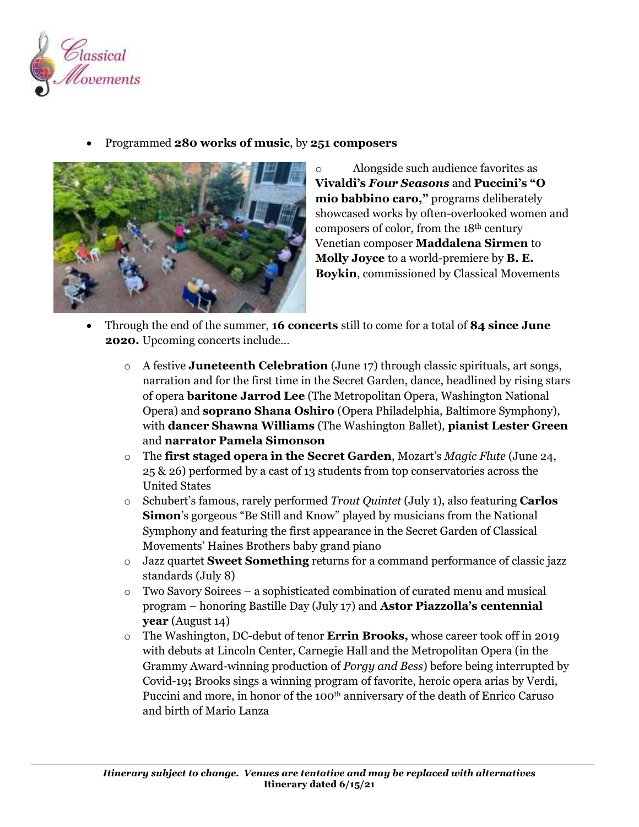

Programmed **280 works of music**, by **251 composers**



o Alongside such audience favorites as **Vivaldi's** *Four Seasons* and **Puccini's "O mio babbino caro,"** programs deliberately showcased works by often-overlooked women and composers of color, from the 18th century Venetian composer **Maddalena Sirmen** to **Molly Joyce** to a world-premiere by **B. E. Boykin**, commissioned by Classical Movements

- Through the end of the summer, **16 concerts** still to come for a total of **84 since June 2020.** Upcoming concerts include…
	- o A festive **Juneteenth Celebration** (June 17) through classic spirituals, art songs, narration and for the first time in the Secret Garden, dance, headlined by rising stars of opera **baritone Jarrod Lee** (The Metropolitan Opera, Washington National Opera) and **soprano Shana Oshiro** (Opera Philadelphia, Baltimore Symphony), with **dancer Shawna Williams** (The Washington Ballet), **pianist Lester Green**  and **narrator Pamela Simonson**
	- o The **first staged opera in the Secret Garden**, Mozart's *Magic Flute* (June 24, 25 & 26) performed by a cast of 13 students from top conservatories across the United States
	- o Schubert's famous, rarely performed *Trout Quintet* (July 1), also featuring **Carlos Simon**'s gorgeous "Be Still and Know" played by musicians from the National Symphony and featuring the first appearance in the Secret Garden of Classical Movements' Haines Brothers baby grand piano
	- o Jazz quartet **Sweet Something** returns for a command performance of classic jazz standards (July 8)
	- o Two Savory Soirees a sophisticated combination of curated menu and musical program – honoring Bastille Day (July 17) and **Astor Piazzolla's centennial year** (August 14)
	- o The Washington, DC-debut of tenor **Errin Brooks,** whose career took off in 2019 with debuts at Lincoln Center, Carnegie Hall and the Metropolitan Opera (in the Grammy Award-winning production of *Porgy and Bess*) before being interrupted by Covid-19**;** Brooks sings a winning program of favorite, heroic opera arias by Verdi, Puccini and more, in honor of the 100<sup>th</sup> anniversary of the death of Enrico Caruso and birth of Mario Lanza